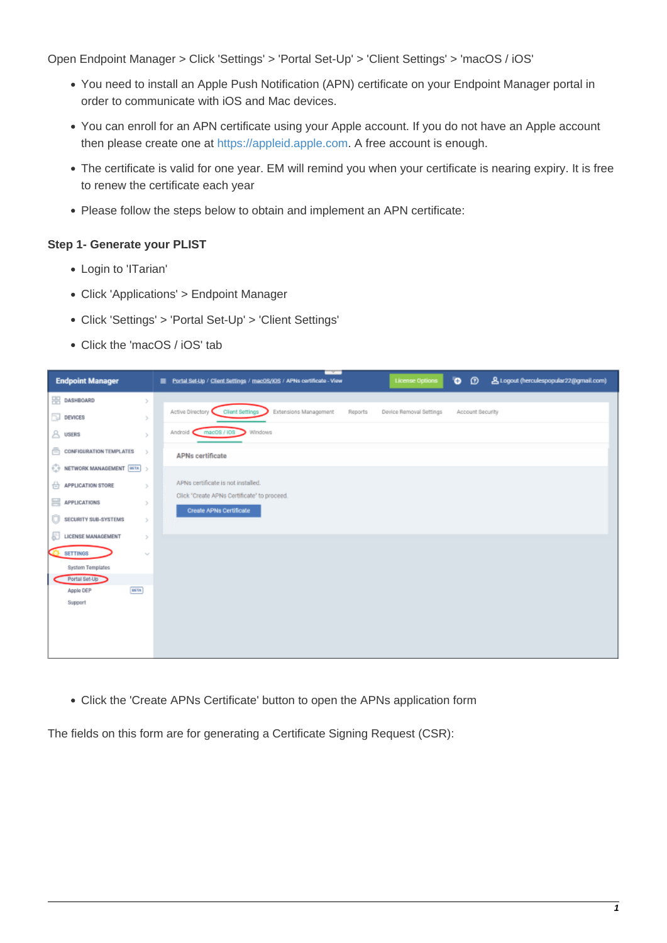Open Endpoint Manager > Click 'Settings' > 'Portal Set-Up' > 'Client Settings' > 'macOS / iOS'

- You need to install an Apple Push Notification (APN) certificate on your Endpoint Manager portal in order to communicate with iOS and Mac devices.
- You can enroll for an APN certificate using your Apple account. If you do not have an Apple account then please create one at [https://appleid.apple.com.](https://appleid.apple.com/) A free account is enough.
- The certificate is valid for one year. EM will remind you when your certificate is nearing expiry. It is free to renew the certificate each year
- Please follow the steps below to obtain and implement an APN certificate:

## **Step 1- Generate your PLIST**

- Login to 'ITarian'
- Click 'Applications' > Endpoint Manager
- Click 'Settings' > 'Portal Set-Up' > 'Client Settings'
- Click the 'macOS / iOS' tab

| <b>Endpoint Manager</b>                           | ø<br><b>&amp; Logout (herculespopular22@gmail.com)</b><br>$\bullet$<br>Portal Set-Up / Client Settings / macOS/IOS / APNs certificate - View<br><b>License Options</b> |
|---------------------------------------------------|------------------------------------------------------------------------------------------------------------------------------------------------------------------------|
| <b>ER DASHBOARD</b><br>$\geq$                     |                                                                                                                                                                        |
| $\Box$ DEVICES<br>y.                              | Active Directory<br>Extensions Management<br><b>Client Settings</b><br>Reports<br>Device Removal Settings<br>Account Security                                          |
| $A$ users<br>$\mathcal{V}$                        | mac08/108<br>Windows<br>Android C                                                                                                                                      |
| ā.<br>CONFIGURATION TEMPLATES<br>$\geq$           | <b>APNs certificate</b>                                                                                                                                                |
| $\odot$ NETWORK MANAGEMENT $\boxed{\text{min}}$ > |                                                                                                                                                                        |
| $\ominus$ APPLICATION STORE<br>$\geq$             | APNs certificate is not installed.                                                                                                                                     |
| APPLICATIONS<br>ъ.                                | Click "Create APNs Certificate" to proceed.<br>Create APNs Certificate                                                                                                 |
| Ū<br>SECURITY SUB-SYSTEMS<br>$\mathcal{V}$        |                                                                                                                                                                        |
| IJ<br>LICENSE MANAGEMENT<br>$\geq$                |                                                                                                                                                                        |
| <b>SETTINGS</b><br>$\gamma_{\rm s}$               |                                                                                                                                                                        |
| System Templates                                  |                                                                                                                                                                        |
| Portal Set-Up                                     |                                                                                                                                                                        |
| <b>BETA</b><br>Apple DEP<br>Support               |                                                                                                                                                                        |
|                                                   |                                                                                                                                                                        |
|                                                   |                                                                                                                                                                        |
|                                                   |                                                                                                                                                                        |
|                                                   |                                                                                                                                                                        |

Click the 'Create APNs Certificate' button to open the APNs application form

The fields on this form are for generating a Certificate Signing Request (CSR):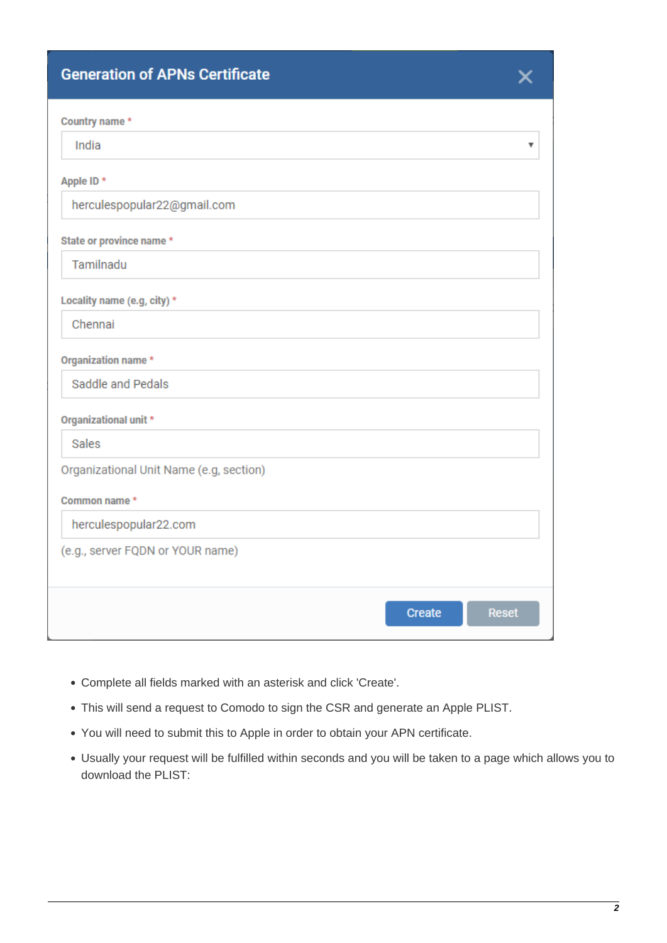# **Generation of APNs Certificate**

| Ò  |  |  |
|----|--|--|
|    |  |  |
|    |  |  |
| ı. |  |  |
|    |  |  |

| Country name*                           |                               |
|-----------------------------------------|-------------------------------|
| India                                   | ▼                             |
| Apple ID *                              |                               |
| herculespopular22@gmail.com             |                               |
| State or province name *                |                               |
| Tamilnadu                               |                               |
| Locality name (e.g, city) *             |                               |
| Chennai                                 |                               |
| Organization name *                     |                               |
| Saddle and Pedals                       |                               |
| Organizational unit *                   |                               |
| <b>Sales</b>                            |                               |
| Organizational Unit Name (e.g, section) |                               |
| Common name *                           |                               |
| herculespopular22.com                   |                               |
| (e.g., server FQDN or YOUR name)        |                               |
|                                         |                               |
|                                         | <b>Reset</b><br><b>Create</b> |
|                                         |                               |

- Complete all fields marked with an asterisk and click 'Create'.
- This will send a request to Comodo to sign the CSR and generate an Apple PLIST.
- You will need to submit this to Apple in order to obtain your APN certificate.
- Usually your request will be fulfilled within seconds and you will be taken to a page which allows you to download the PLIST: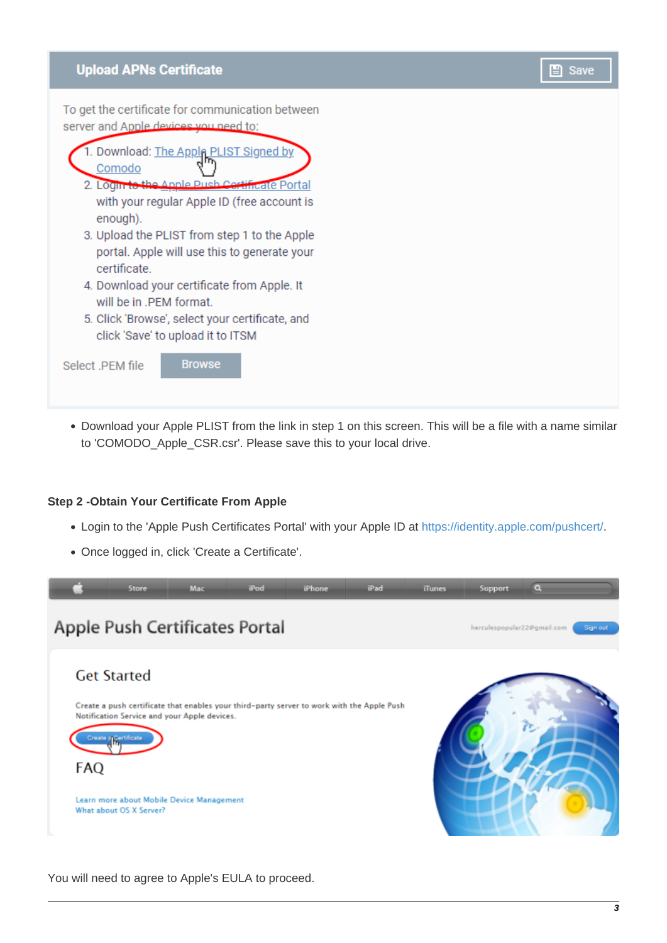# **Upload APNs Certificate**

To get the certificate for communication between server and Apple devices you need to:



Download your Apple PLIST from the link in step 1 on this screen. This will be a file with a name similar to 'COMODO\_Apple\_CSR.csr'. Please save this to your local drive.

#### **Step 2 -Obtain Your Certificate From Apple**

- Login to the 'Apple Push Certificates Portal' with your Apple ID at [https://identity.apple.com/pushcert/.](https://identity.apple.com/pushcert/)
- Once logged in, click 'Create a Certificate'.



You will need to agree to Apple's EULA to proceed.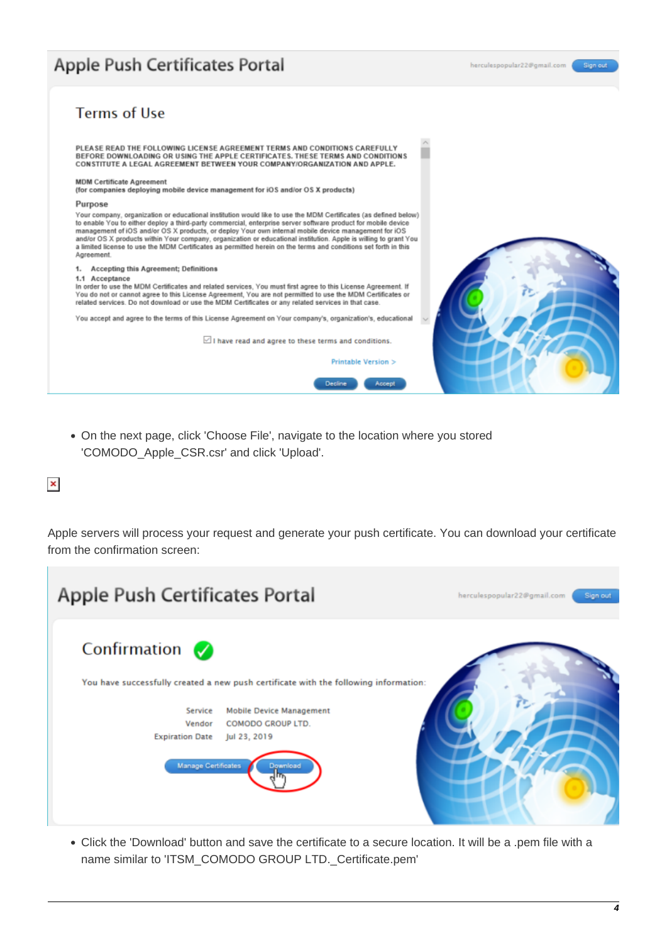# Apple Push Certificates Portal

Sign o



On the next page, click 'Choose File', navigate to the location where you stored 'COMODO\_Apple\_CSR.csr' and click 'Upload'.

### $\pmb{\times}$

Apple servers will process your request and generate your push certificate. You can download your certificate from the confirmation screen:



Click the 'Download' button and save the certificate to a secure location. It will be a .pem file with a name similar to 'ITSM\_COMODO GROUP LTD.\_Certificate.pem'